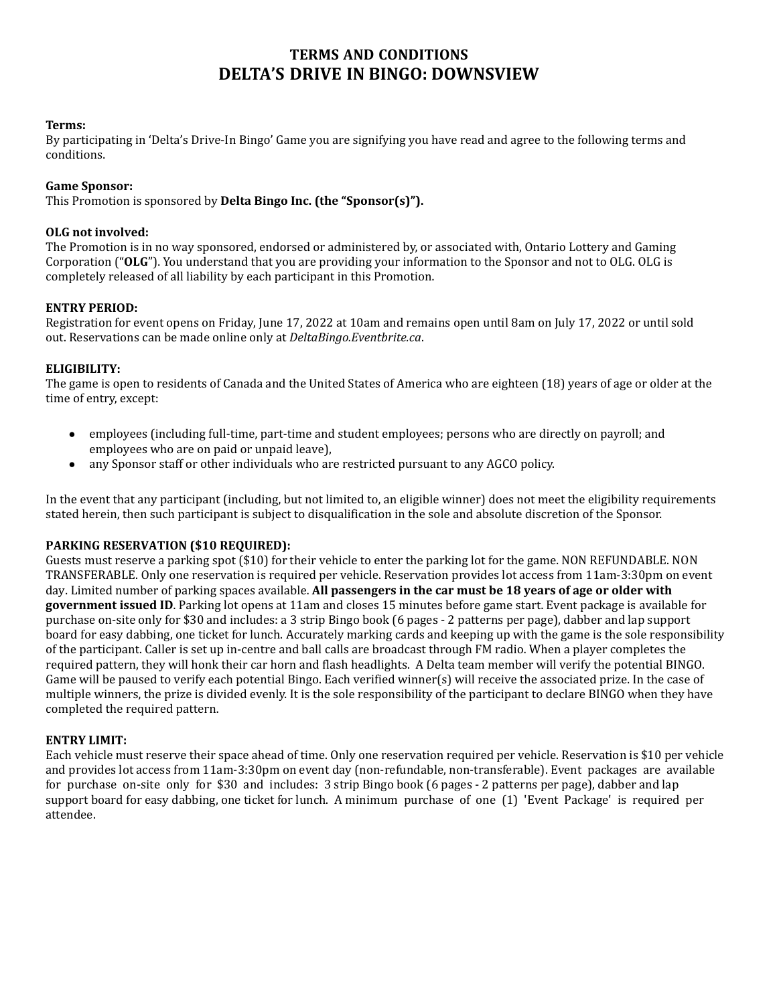# **TERMS AND CONDITIONS DELTA'S DRIVE IN BINGO: DOWNSVIEW**

### **Terms:**

By participating in 'Delta's Drive-In Bingo' Game you are signifying you have read and agree to the following terms and conditions.

### **Game Sponsor:**

This Promotion is sponsored by **Delta Bingo Inc. (the "Sponsor(s)").**

### **OLG not involved:**

The Promotion is in no way sponsored, endorsed or administered by, or associated with, Ontario Lottery and Gaming Corporation ("**OLG**"). You understand that you are providing your information to the Sponsor and not to OLG. OLG is completely released of all liability by each participant in this Promotion.

### **ENTRY PERIOD:**

Registration for event opens on Friday, June 17, 2022 at 10am and remains open until 8am on July 17, 2022 or until sold out. Reservations can be made online only at *DeltaBingo.Eventbrite.ca*.

#### **ELIGIBILITY:**

The game is open to residents of Canada and the United States of America who are eighteen (18) years of age or older at the time of entry, except:

- employees (including full-time, part-time and student employees; persons who are directly on payroll; and employees who are on paid or unpaid leave),
- any Sponsor staff or other individuals who are restricted pursuant to any AGCO policy.

In the event that any participant (including, but not limited to, an eligible winner) does not meet the eligibility requirements stated herein, then such participant is subject to disqualification in the sole and absolute discretion of the Sponsor.

#### **PARKING RESERVATION (\$10 REQUIRED):**

Guests must reserve a parking spot (\$10) for their vehicle to enter the parking lot for the game. NON REFUNDABLE. NON TRANSFERABLE. Only one reservation is required per vehicle. Reservation provides lot access from 11am-3:30pm on event day. Limited number of parking spaces available. **All passengers in the car must be 18 years of age or older with government issued ID**. Parking lot opens at 11am and closes 15 minutes before game start. Event package is available for purchase on-site only for \$30 and includes: a 3 strip Bingo book (6 pages - 2 patterns per page), dabber and lap support board for easy dabbing, one ticket for lunch. Accurately marking cards and keeping up with the game is the sole responsibility of the participant. Caller is set up in-centre and ball calls are broadcast through FM radio. When a player completes the required pattern, they will honk their car horn and flash headlights. A Delta team member will verify the potential BINGO. Game will be paused to verify each potential Bingo. Each verified winner(s) will receive the associated prize. In the case of multiple winners, the prize is divided evenly. It is the sole responsibility of the participant to declare BINGO when they have completed the required pattern.

### **ENTRY LIMIT:**

Each vehicle must reserve their space ahead of time. Only one reservation required per vehicle. Reservation is \$10 per vehicle and provides lot access from 11am-3:30pm on event day (non-refundable, non-transferable). Event packages are available for purchase on-site only for \$30 and includes: 3 strip Bingo book (6 pages - 2 patterns per page), dabber and lap support board for easy dabbing, one ticket for lunch. A minimum purchase of one (1) 'Event Package' is required per attendee.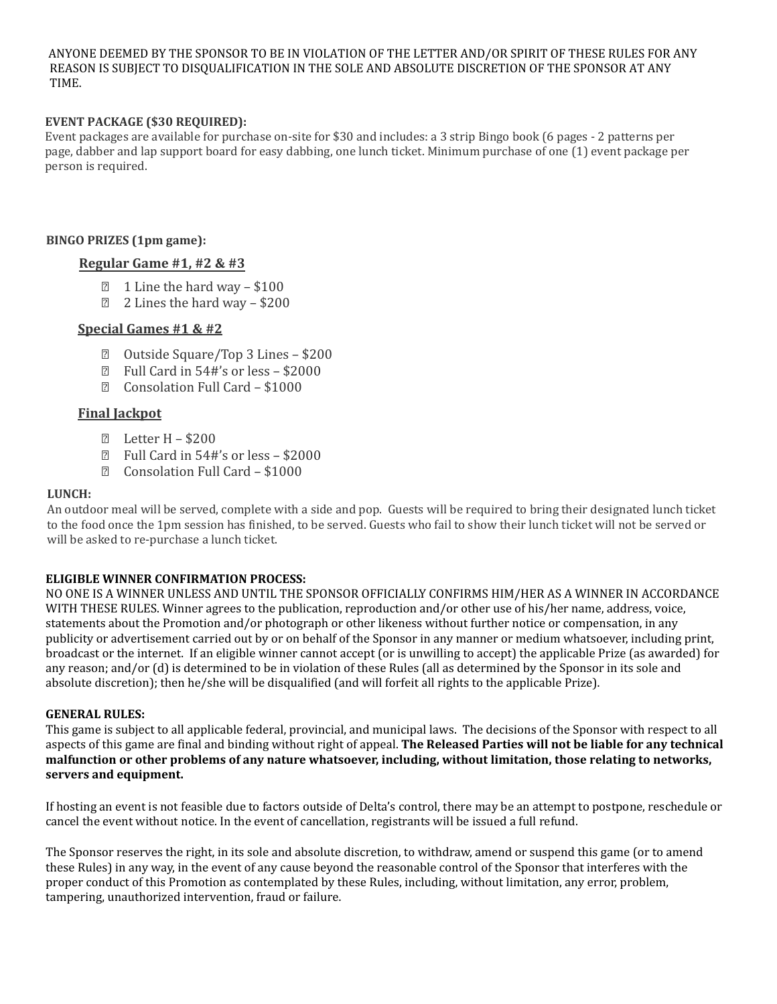ANYONE DEEMED BY THE SPONSOR TO BE IN VIOLATION OF THE LETTER AND/OR SPIRIT OF THESE RULES FOR ANY REASON IS SUBJECT TO DISQUALIFICATION IN THE SOLE AND ABSOLUTE DISCRETION OF THE SPONSOR AT ANY TIME.

### **EVENT PACKAGE (\$30 REQUIRED):**

Event packages are available for purchase on-site for \$30 and includes: a 3 strip Bingo book (6 pages - 2 patterns per page, dabber and lap support board for easy dabbing, one lunch ticket. Minimum purchase of one (1) event package per person is required.

### **BINGO PRIZES (1pm game):**

### **Regular Game #1, #2 & #3**

- $\text{I}$  1 Line the hard way \$100
- ⮚ 2 Lines the hard way \$200

### **Special Games #1 & #2**

- ⮚ Outside Square/Top 3 Lines \$200
- ⮚ Full Card in 54#'s or less \$2000
- ⮚ Consolation Full Card \$1000

## **Final Jackpot**

- ⮚ Letter H \$200
- ⮚ Full Card in 54#'s or less \$2000
- ⮚ Consolation Full Card \$1000

#### **LUNCH:**

An outdoor meal will be served, complete with a side and pop. Guests will be required to bring their designated lunch ticket to the food once the 1pm session has finished, to be served. Guests who fail to show their lunch ticket will not be served or will be asked to re-purchase a lunch ticket.

### **ELIGIBLE WINNER CONFIRMATION PROCESS:**

NO ONE IS A WINNER UNLESS AND UNTIL THE SPONSOR OFFICIALLY CONFIRMS HIM/HER AS A WINNER IN ACCORDANCE WITH THESE RULES. Winner agrees to the publication, reproduction and/or other use of his/her name, address, voice, statements about the Promotion and/or photograph or other likeness without further notice or compensation, in any publicity or advertisement carried out by or on behalf of the Sponsor in any manner or medium whatsoever, including print, broadcast or the internet. If an eligible winner cannot accept (or is unwilling to accept) the applicable Prize (as awarded) for any reason; and/or (d) is determined to be in violation of these Rules (all as determined by the Sponsor in its sole and absolute discretion); then he/she will be disqualified (and will forfeit all rights to the applicable Prize).

### **GENERAL RULES:**

This game is subject to all applicable federal, provincial, and municipal laws. The decisions of the Sponsor with respect to all aspects of this game are final and binding without right of appeal. **The Released Parties will not be liable for any technical malfunction or other problems of any nature whatsoever, including, without limitation, those relating to networks, servers and equipment.**

If hosting an event is not feasible due to factors outside of Delta's control, there may be an attempt to postpone, reschedule or cancel the event without notice. In the event of cancellation, registrants will be issued a full refund.

The Sponsor reserves the right, in its sole and absolute discretion, to withdraw, amend or suspend this game (or to amend these Rules) in any way, in the event of any cause beyond the reasonable control of the Sponsor that interferes with the proper conduct of this Promotion as contemplated by these Rules, including, without limitation, any error, problem, tampering, unauthorized intervention, fraud or failure.